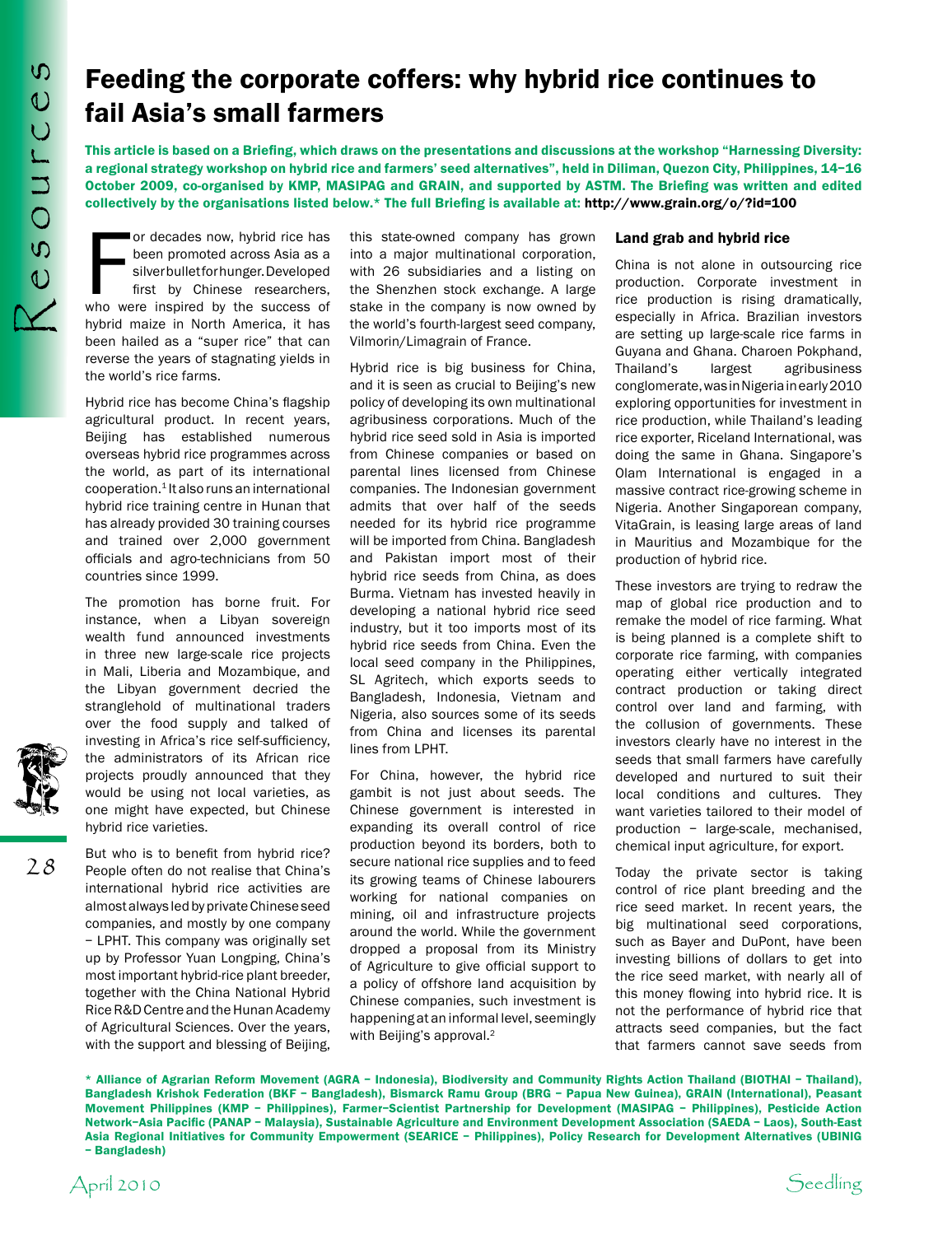28

## Feeding the corporate coffers: why hybrid rice continues to fail Asia's small farmers

This article is based on a Briefing, which draws on the presentations and discussions at the workshop "Harnessing Diversity: a regional strategy workshop on hybrid rice and farmers' seed alternatives", held in Diliman, Quezon City, Philippines, 14–16 October 2009, co-organised by KMP, MASIPAG and GRAIN, and supported by ASTM. The Briefing was written and edited collectively by the organisations listed below.\* The full Briefing is available at: http://www.grain.org/o/?id=100

or decades now, hybrid rice has<br>been promoted across Asia as a<br>silverbulletforhunger.Developed<br>first by Chinese researchers,<br>who were inspired by the success of or decades now, hybrid rice has been promoted across Asia as a silverbulletforhunger.Developed first by Chinese researchers, hybrid maize in North America, it has been hailed as a "super rice" that can reverse the years of stagnating yields in the world's rice farms.

Hybrid rice has become China's flagship agricultural product. In recent years, Beijing has established numerous overseas hybrid rice programmes across the world, as part of its international cooperation.1 It also runs an international hybrid rice training centre in Hunan that has already provided 30 training courses and trained over 2,000 government officials and agro-technicians from 50 countries since 1999.

The promotion has borne fruit. For instance, when a Libyan sovereign wealth fund announced investments in three new large-scale rice projects in Mali, Liberia and Mozambique, and the Libyan government decried the stranglehold of multinational traders over the food supply and talked of investing in Africa's rice self-sufficiency, the administrators of its African rice projects proudly announced that they would be using not local varieties, as one might have expected, but Chinese hybrid rice varieties.

But who is to benefit from hybrid rice? People often do not realise that China's international hybrid rice activities are almostalways ledbyprivateChineseseed companies, and mostly by one company – LPHT. This company was originally set up by Professor Yuan Longping, China's most important hybrid-rice plant breeder, together with the China National Hybrid Rice R&D Centre and the Hunan Academy of Agricultural Sciences. Over the years, with the support and blessing of Beijing,

this state-owned company has grown into a major multinational corporation, with 26 subsidiaries and a listing on the Shenzhen stock exchange. A large stake in the company is now owned by the world's fourth-largest seed company, Vilmorin/Limagrain of France.

Hybrid rice is big business for China, and it is seen as crucial to Beijing's new policy of developing its own multinational agribusiness corporations. Much of the hybrid rice seed sold in Asia is imported from Chinese companies or based on parental lines licensed from Chinese companies. The Indonesian government admits that over half of the seeds needed for its hybrid rice programme will be imported from China. Bangladesh and Pakistan import most of their hybrid rice seeds from China, as does Burma. Vietnam has invested heavily in developing a national hybrid rice seed industry, but it too imports most of its hybrid rice seeds from China. Even the local seed company in the Philippines, SL Agritech, which exports seeds to Bangladesh, Indonesia, Vietnam and Nigeria, also sources some of its seeds from China and licenses its parental lines from LPHT.

For China, however, the hybrid rice gambit is not just about seeds. The Chinese government is interested in expanding its overall control of rice production beyond its borders, both to secure national rice supplies and to feed its growing teams of Chinese labourers working for national companies on mining, oil and infrastructure projects around the world. While the government dropped a proposal from its Ministry of Agriculture to give official support to a policy of offshore land acquisition by Chinese companies, such investment is happening at an informal level, seemingly with Beijing's approval.<sup>2</sup>

## Land grab and hybrid rice

China is not alone in outsourcing rice production. Corporate investment in rice production is rising dramatically, especially in Africa. Brazilian investors are setting up large-scale rice farms in Guyana and Ghana. Charoen Pokphand, Thailand's largest agribusiness conglomerate,wasinNigeriainearly2010 exploring opportunities for investment in rice production, while Thailand's leading rice exporter, Riceland International, was doing the same in Ghana. Singapore's Olam International is engaged in a massive contract rice-growing scheme in Nigeria. Another Singaporean company, VitaGrain, is leasing large areas of land in Mauritius and Mozambique for the production of hybrid rice.

These investors are trying to redraw the map of global rice production and to remake the model of rice farming. What is being planned is a complete shift to corporate rice farming, with companies operating either vertically integrated contract production or taking direct control over land and farming, with the collusion of governments. These investors clearly have no interest in the seeds that small farmers have carefully developed and nurtured to suit their local conditions and cultures. They want varieties tailored to their model of production – large-scale, mechanised, chemical input agriculture, for export.

Today the private sector is taking control of rice plant breeding and the rice seed market. In recent years, the big multinational seed corporations, such as Bayer and DuPont, have been investing billions of dollars to get into the rice seed market, with nearly all of this money flowing into hybrid rice. It is not the performance of hybrid rice that attracts seed companies, but the fact that farmers cannot save seeds from

\* Alliance of Agrarian Reform Movement (AGRA – Indonesia), Biodiversity and Community Rights Action Thailand (BIOTHAI – Thailand), Bangladesh Krishok Federation (BKF – Bangladesh), Bismarck Ramu Group (BRG – Papua New Guinea), GRAIN (International), Peasant Movement Philippines (KMP – Philippines), Farmer–Scientist Partnership for Development (MASIPAG – Philippines), Pesticide Action Network–Asia Pacific (PANAP – Malaysia), Sustainable Agriculture and Environment Development Association (SAEDA – Laos), South-East Asia Regional Initiatives for Community Empowerment (SEARICE – Philippines), Policy Research for Development Alternatives (UBINIG – Bangladesh)